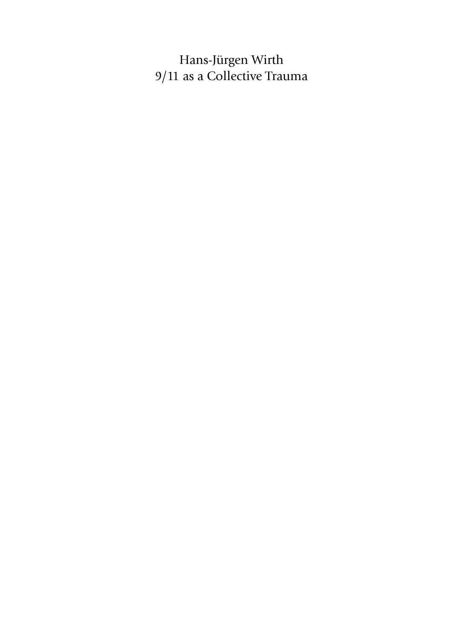Hans-Jürgen Wirth 9/11 as a Collective Trauma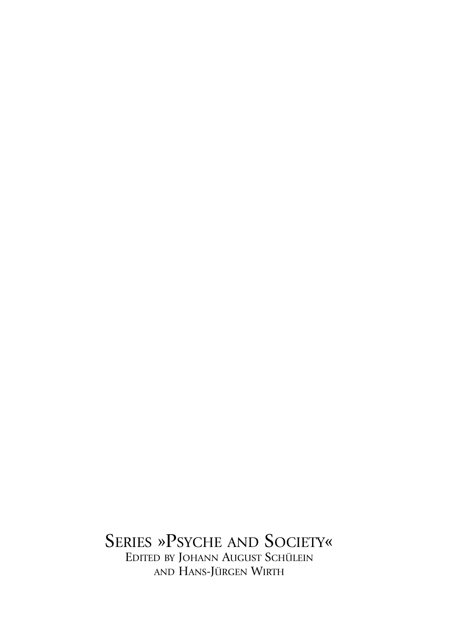SERIES »PSYCHE AND SOCIETY« EDITED BY JOHANN AUGUST SCHÜLEIN AND HANS-JÜRGEN WIRTH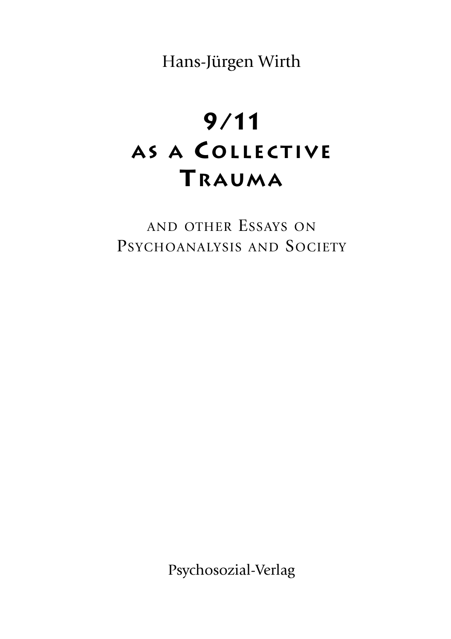Hans-Jürgen Wirth

## **9/11 AS A COLLECTIVE TRAUMA**

AND OTHER ESSAYS ON PSYCHOANALYSIS AND SOCIETY

Psychosozial-Verlag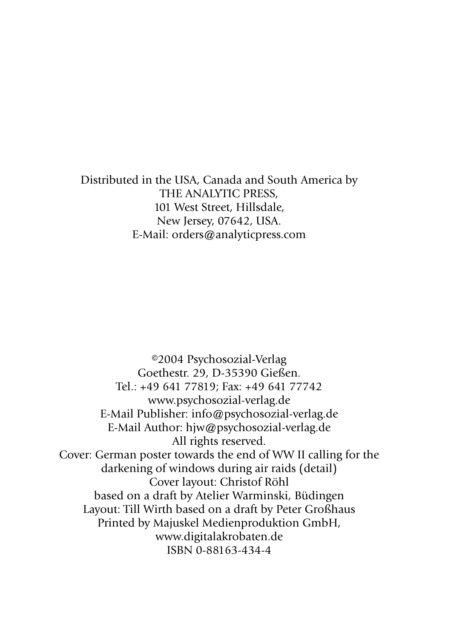Distributed in the USA, Canada and South America by THE ANALYTIC PRESS, 101 West Street, Hillsdale, New Jersey, 07642, USA. E-Mail: orders@analyticpress.com

©2004 Psychosozial-Verlag Goethestr. 29, D-35390 Gießen. Tel.: +49 641 77819; Fax: +49 641 77742 www.psychosozial-verlag.de E-Mail Publisher: info@psychosozial-verlag.de E-Mail Author: hjw@psychosozial-verlag.de All rights reserved. Cover: German poster towards the end of WW II calling for the darkening of windows during air raids (detail) Cover layout: Christof Röhl based on a draft by Atelier Warminski, Büdingen Layout: Till Wirth based on a draft by Peter Großhaus Printed by Majuskel Medienproduktion GmbH, www.digitalakrobaten.de ISBN 0-88163-434-4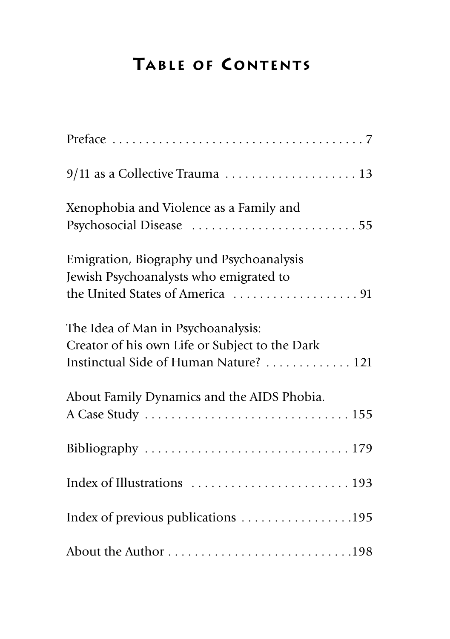## **TABLE OF CONTENTS**

| 9/11 as a Collective Trauma  13                                                                                                |
|--------------------------------------------------------------------------------------------------------------------------------|
| Xenophobia and Violence as a Family and<br>Psychosocial Disease 55                                                             |
| Emigration, Biography und Psychoanalysis<br>Jewish Psychoanalysts who emigrated to                                             |
| The Idea of Man in Psychoanalysis:<br>Creator of his own Life or Subject to the Dark<br>Instinctual Side of Human Nature?  121 |
| About Family Dynamics and the AIDS Phobia.                                                                                     |
|                                                                                                                                |
| Index of Illustrations  193                                                                                                    |
| Index of previous publications 195                                                                                             |
|                                                                                                                                |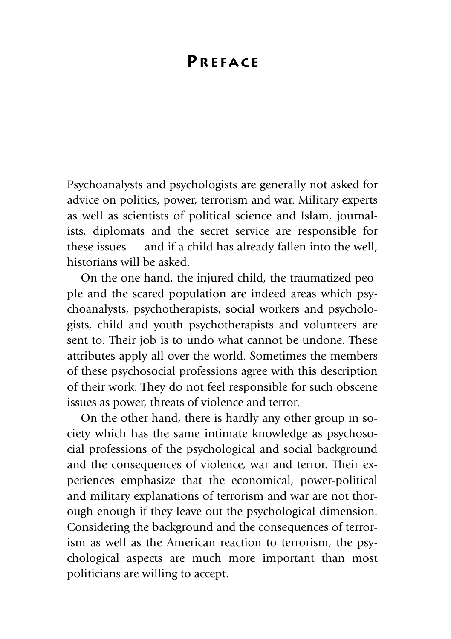## **PREFACE**

Psychoanalysts and psychologists are generally not asked for advice on politics, power, terrorism and war. Military experts as well as scientists of political science and Islam, journalists, diplomats and the secret service are responsible for these issues — and if a child has already fallen into the well, historians will be asked.

On the one hand, the injured child, the traumatized people and the scared population are indeed areas which psychoanalysts, psychotherapists, social workers and psychologists, child and youth psychotherapists and volunteers are sent to. Their job is to undo what cannot be undone. These attributes apply all over the world. Sometimes the members of these psychosocial professions agree with this description of their work: They do not feel responsible for such obscene issues as power, threats of violence and terror.

On the other hand, there is hardly any other group in society which has the same intimate knowledge as psychosocial professions of the psychological and social background and the consequences of violence, war and terror. Their experiences emphasize that the economical, power-political and military explanations of terrorism and war are not thorough enough if they leave out the psychological dimension. Considering the background and the consequences of terrorism as well as the American reaction to terrorism, the psychological aspects are much more important than most politicians are willing to accept.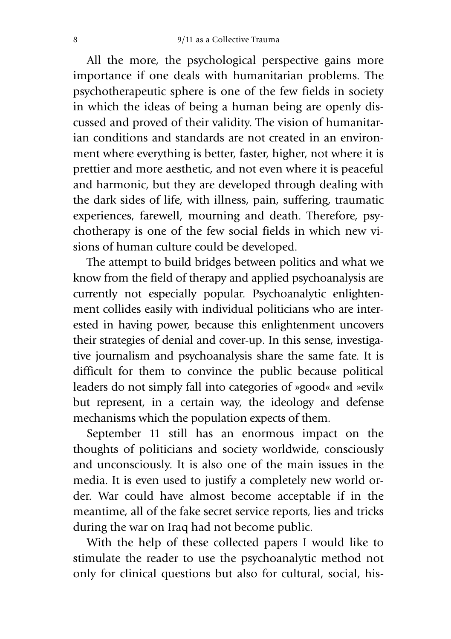All the more, the psychological perspective gains more importance if one deals with humanitarian problems. The psychotherapeutic sphere is one of the few fields in society in which the ideas of being a human being are openly discussed and proved of their validity. The vision of humanitarian conditions and standards are not created in an environment where everything is better, faster, higher, not where it is prettier and more aesthetic, and not even where it is peaceful and harmonic, but they are developed through dealing with the dark sides of life, with illness, pain, suffering, traumatic experiences, farewell, mourning and death. Therefore, psychotherapy is one of the few social fields in which new visions of human culture could be developed.

The attempt to build bridges between politics and what we know from the field of therapy and applied psychoanalysis are currently not especially popular. Psychoanalytic enlightenment collides easily with individual politicians who are interested in having power, because this enlightenment uncovers their strategies of denial and cover-up. In this sense, investigative journalism and psychoanalysis share the same fate. It is difficult for them to convince the public because political leaders do not simply fall into categories of »good« and »evil« but represent, in a certain way, the ideology and defense mechanisms which the population expects of them.

September 11 still has an enormous impact on the thoughts of politicians and society worldwide, consciously and unconsciously. It is also one of the main issues in the media. It is even used to justify a completely new world order. War could have almost become acceptable if in the meantime, all of the fake secret service reports, lies and tricks during the war on Iraq had not become public.

With the help of these collected papers I would like to stimulate the reader to use the psychoanalytic method not only for clinical questions but also for cultural, social, his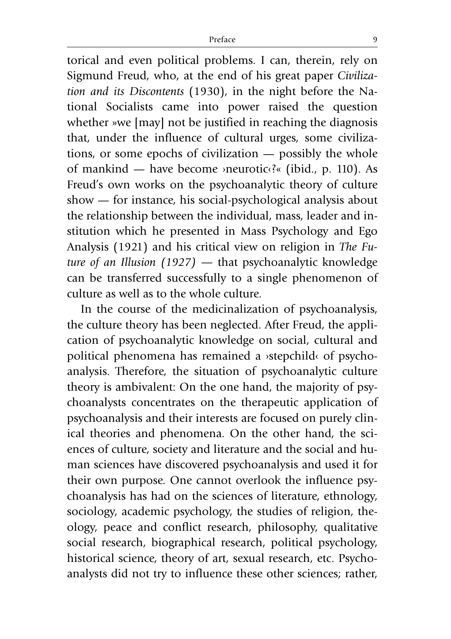torical and even political problems. I can, therein, rely on Sigmund Freud, who, at the end of his great paper *Civilization and its Discontents* (1930), in the night before the National Socialists came into power raised the question whether »we [may] not be justified in reaching the diagnosis that, under the influence of cultural urges, some civilizations, or some epochs of civilization — possibly the whole of mankind — have become ›neurotic‹?« (ibid., p. 110). As Freud's own works on the psychoanalytic theory of culture show — for instance, his social-psychological analysis about the relationship between the individual, mass, leader and institution which he presented in Mass Psychology and Ego Analysis (1921) and his critical view on religion in *The Future of an Illusion (1927) —* that psychoanalytic knowledge can be transferred successfully to a single phenomenon of culture as well as to the whole culture.

In the course of the medicinalization of psychoanalysis, the culture theory has been neglected. After Freud, the application of psychoanalytic knowledge on social, cultural and political phenomena has remained a ›stepchild‹ of psychoanalysis. Therefore, the situation of psychoanalytic culture theory is ambivalent: On the one hand, the majority of psychoanalysts concentrates on the therapeutic application of psychoanalysis and their interests are focused on purely clinical theories and phenomena. On the other hand, the sciences of culture, society and literature and the social and human sciences have discovered psychoanalysis and used it for their own purpose. One cannot overlook the influence psychoanalysis has had on the sciences of literature, ethnology, sociology, academic psychology, the studies of religion, theology, peace and conflict research, philosophy, qualitative social research, biographical research, political psychology, historical science, theory of art, sexual research, etc. Psychoanalysts did not try to influence these other sciences; rather,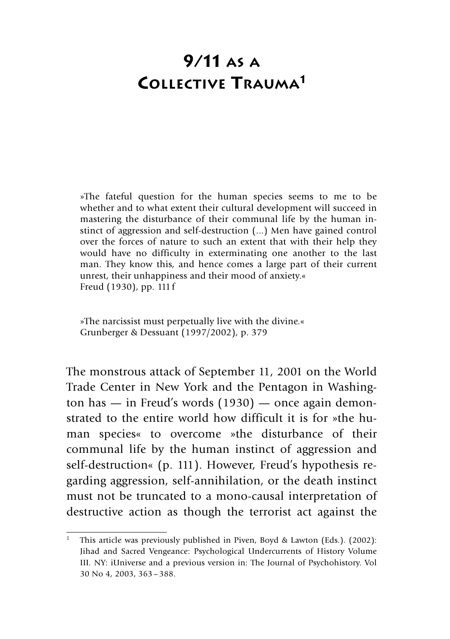## **9/11 AS A COLLECTIVE TRAUMA1**

»The fateful question for the human species seems to me to be whether and to what extent their cultural development will succeed in mastering the disturbance of their communal life by the human instinct of aggression and self-destruction (...) Men have gained control over the forces of nature to such an extent that with their help they would have no difficulty in exterminating one another to the last man. They know this, and hence comes a large part of their current unrest, their unhappiness and their mood of anxiety.« Freud (1930), pp. 111f

»The narcissist must perpetually live with the divine.« Grunberger & Dessuant (1997/2002), p. 379

The monstrous attack of September 11, 2001 on the World Trade Center in New York and the Pentagon in Washington has — in Freud's words (1930) — once again demonstrated to the entire world how difficult it is for »the human species« to overcome »the disturbance of their communal life by the human instinct of aggression and self-destruction« (p. 111). However, Freud's hypothesis regarding aggression, self-annihilation, or the death instinct must not be truncated to a mono-causal interpretation of destructive action as though the terrorist act against the

<sup>&</sup>lt;sup>1</sup> This article was previously published in Piven, Boyd & Lawton (Eds.). (2002): Jihad and Sacred Vengeance: Psychological Undercurrents of History Volume III*.* NY: iUniverse and a previous version in: The Journal of Psychohistory. Vol 30 No 4, 2003, 363–388.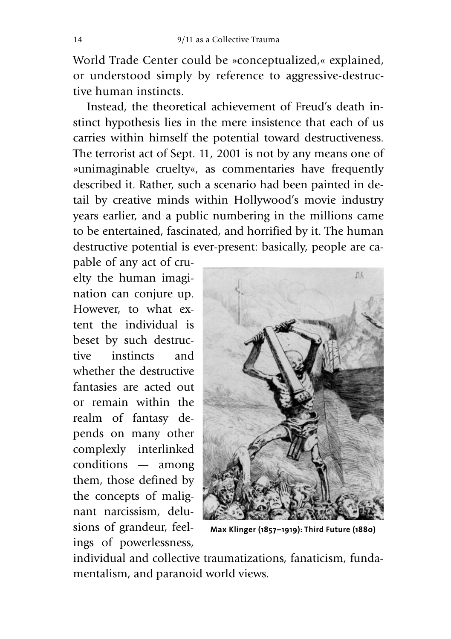World Trade Center could be »conceptualized,« explained, or understood simply by reference to aggressive-destructive human instincts.

Instead, the theoretical achievement of Freud's death instinct hypothesis lies in the mere insistence that each of us carries within himself the potential toward destructiveness. The terrorist act of Sept. 11, 2001 is not by any means one of »unimaginable cruelty«, as commentaries have frequently described it. Rather, such a scenario had been painted in detail by creative minds within Hollywood's movie industry years earlier, and a public numbering in the millions came to be entertained, fascinated, and horrified by it. The human destructive potential is ever-present: basically, people are ca-

pable of any act of cruelty the human imagination can conjure up. However, to what extent the individual is beset by such destructive instincts and whether the destructive fantasies are acted out or remain within the realm of fantasy depends on many other complexly interlinked conditions — among them, those defined by the concepts of malignant narcissism, delusions of grandeur, feelings of powerlessness,



**Max Klinger (1857–1919): Third Future (1880)**

individual and collective traumatizations, fanaticism, fundamentalism, and paranoid world views.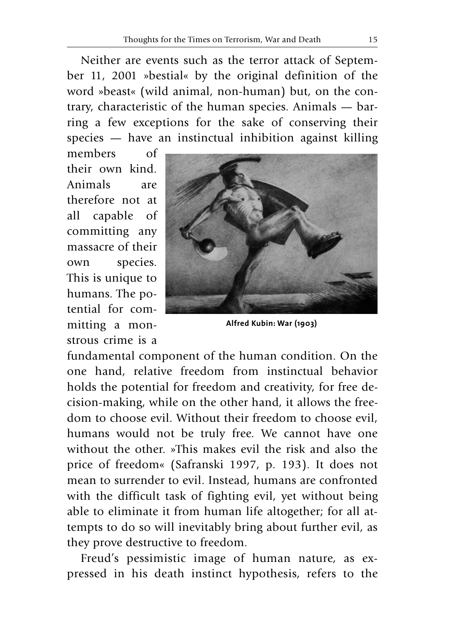Neither are events such as the terror attack of September 11, 2001 »bestial« by the original definition of the word »beast« (wild animal, non-human) but, on the contrary, characteristic of the human species. Animals — barring a few exceptions for the sake of conserving their species — have an instinctual inhibition against killing

members of their own kind. Animals are therefore not at all capable of committing any massacre of their own species. This is unique to humans. The potential for committing a monstrous crime is a



**Alfred Kubin: War (1903)**

fundamental component of the human condition. On the one hand, relative freedom from instinctual behavior holds the potential for freedom and creativity, for free decision-making, while on the other hand, it allows the freedom to choose evil. Without their freedom to choose evil, humans would not be truly free. We cannot have one without the other. »This makes evil the risk and also the price of freedom« (Safranski 1997, p. 193). It does not mean to surrender to evil. Instead, humans are confronted with the difficult task of fighting evil, yet without being able to eliminate it from human life altogether; for all attempts to do so will inevitably bring about further evil, as they prove destructive to freedom.

Freud's pessimistic image of human nature, as expressed in his death instinct hypothesis, refers to the